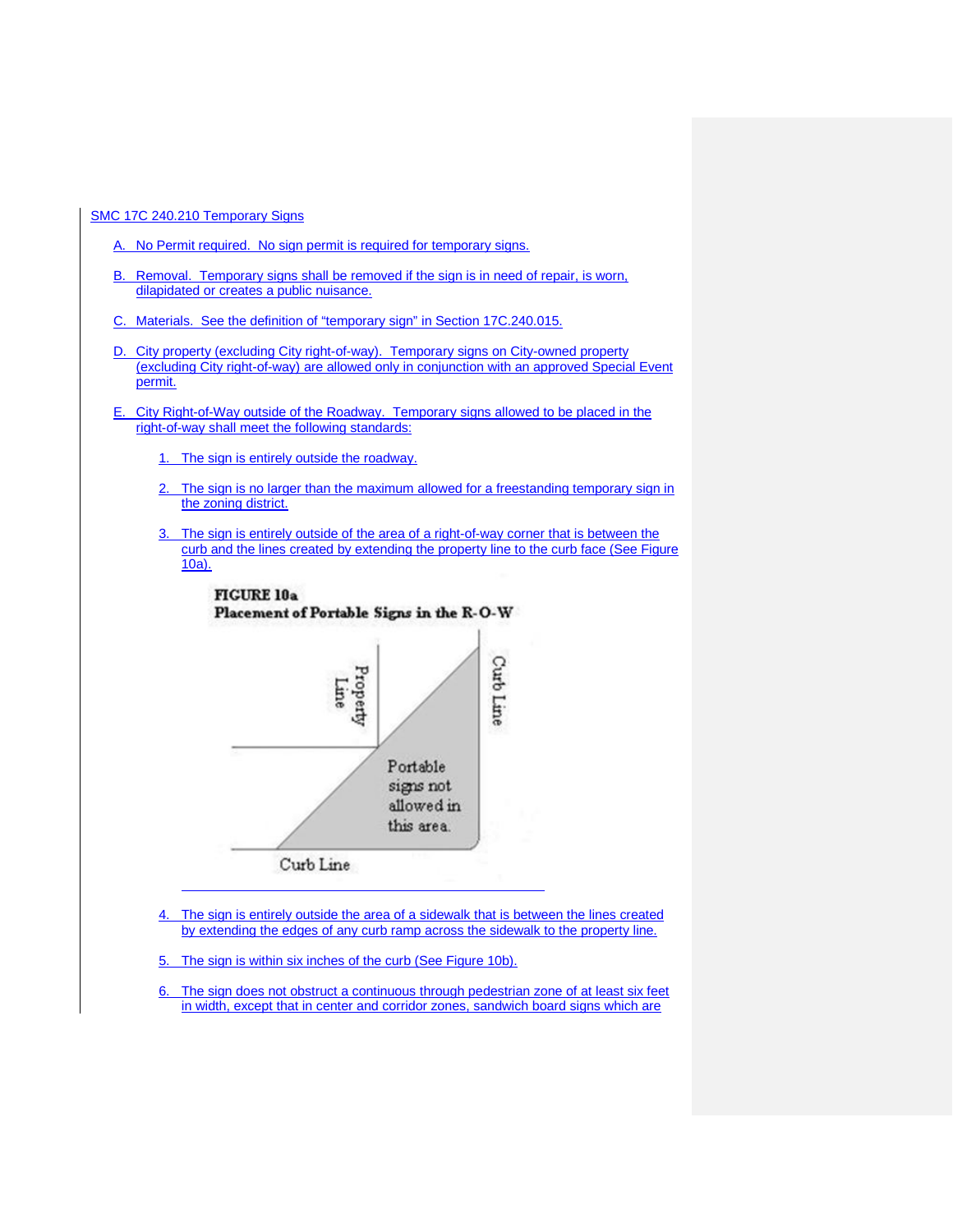SMC 17C 240.210 Temporary Signs

- A. No Permit required. No sign permit is required for temporary signs.
- B. Removal. Temporary signs shall be removed if the sign is in need of repair, is worn, dilapidated or creates a public nuisance.
- C. Materials. See the definition of "temporary sign" in Section 17C.240.015.
- D. City property (excluding City right-of-way). Temporary signs on City-owned property (excluding City right-of-way) are allowed only in conjunction with an approved Special Event permit.
- E. City Right-of-Way outside of the Roadway. Temporary signs allowed to be placed in the right-of-way shall meet the following standards:
	- 1. The sign is entirely outside the roadway.
	- 2. The sign is no larger than the maximum allowed for a freestanding temporary sign in the zoning district.
	- 3. The sign is entirely outside of the area of a right-of-way corner that is between the curb and the lines created by extending the property line to the curb face (See Figure 10a).



4. The sign is entirely outside the area of a sidewalk that is between the lines created by extending the edges of any curb ramp across the sidewalk to the property line.

5. The sign is within six inches of the curb (See Figure 10b).

6. The sign does not obstruct a continuous through pedestrian zone of at least six feet in width, except that in center and corridor zones, sandwich board signs which are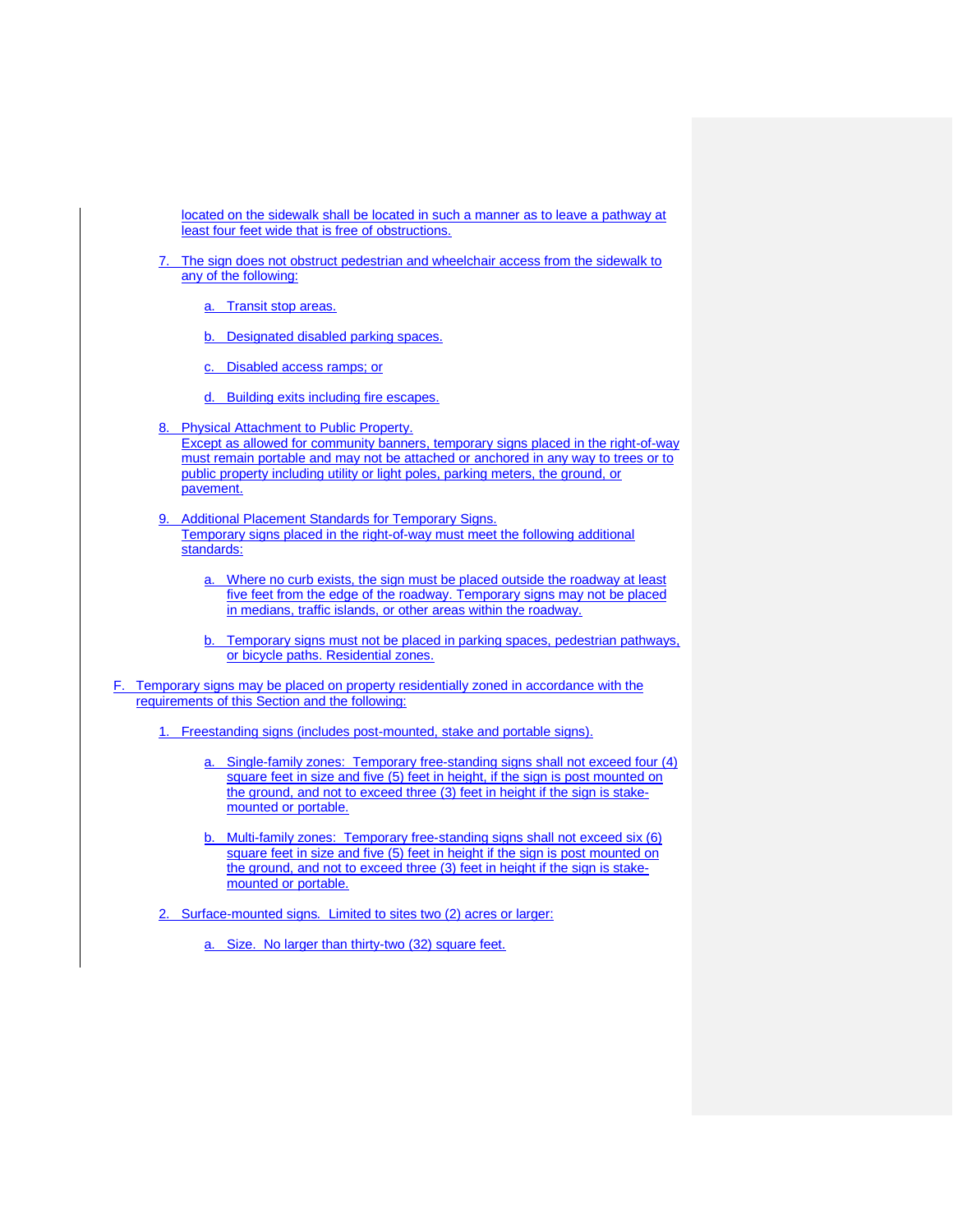located on the sidewalk shall be located in such a manner as to leave a pathway at least four feet wide that is free of obstructions.

- The sign does not obstruct pedestrian and wheelchair access from the sidewalk to any of the following:
	- a. Transit stop areas.
	- b. Designated disabled parking spaces.
	- c. Disabled access ramps; or
	- d. Building exits including fire escapes.
- 8. Physical Attachment to Public Property. Except as allowed for community banners, temporary signs placed in the right-of-way must remain portable and may not be attached or anchored in any way to trees or to public property including utility or light poles, parking meters, the ground, or pavement.
- 9. Additional Placement Standards for Temporary Signs. Temporary signs placed in the right-of-way must meet the following additional standards:
	- a. Where no curb exists, the sign must be placed outside the roadway at least five feet from the edge of the roadway. Temporary signs may not be placed in medians, traffic islands, or other areas within the roadway.
	- b. Temporary signs must not be placed in parking spaces, pedestrian pathways, or bicycle paths. Residential zones.
- F. Temporary signs may be placed on property residentially zoned in accordance with the requirements of this Section and the following:
	- 1. Freestanding signs (includes post-mounted, stake and portable signs).
		- a. Single-family zones: Temporary free-standing signs shall not exceed four (4) square feet in size and five (5) feet in height, if the sign is post mounted on the ground, and not to exceed three (3) feet in height if the sign is stakemounted or portable.
		- b. Multi-family zones: Temporary free-standing signs shall not exceed six (6) square feet in size and five (5) feet in height if the sign is post mounted on the ground, and not to exceed three (3) feet in height if the sign is stakemounted or portable.

2. Surface-mounted signs*.* Limited to sites two (2) acres or larger:

a. Size. No larger than thirty-two (32) square feet.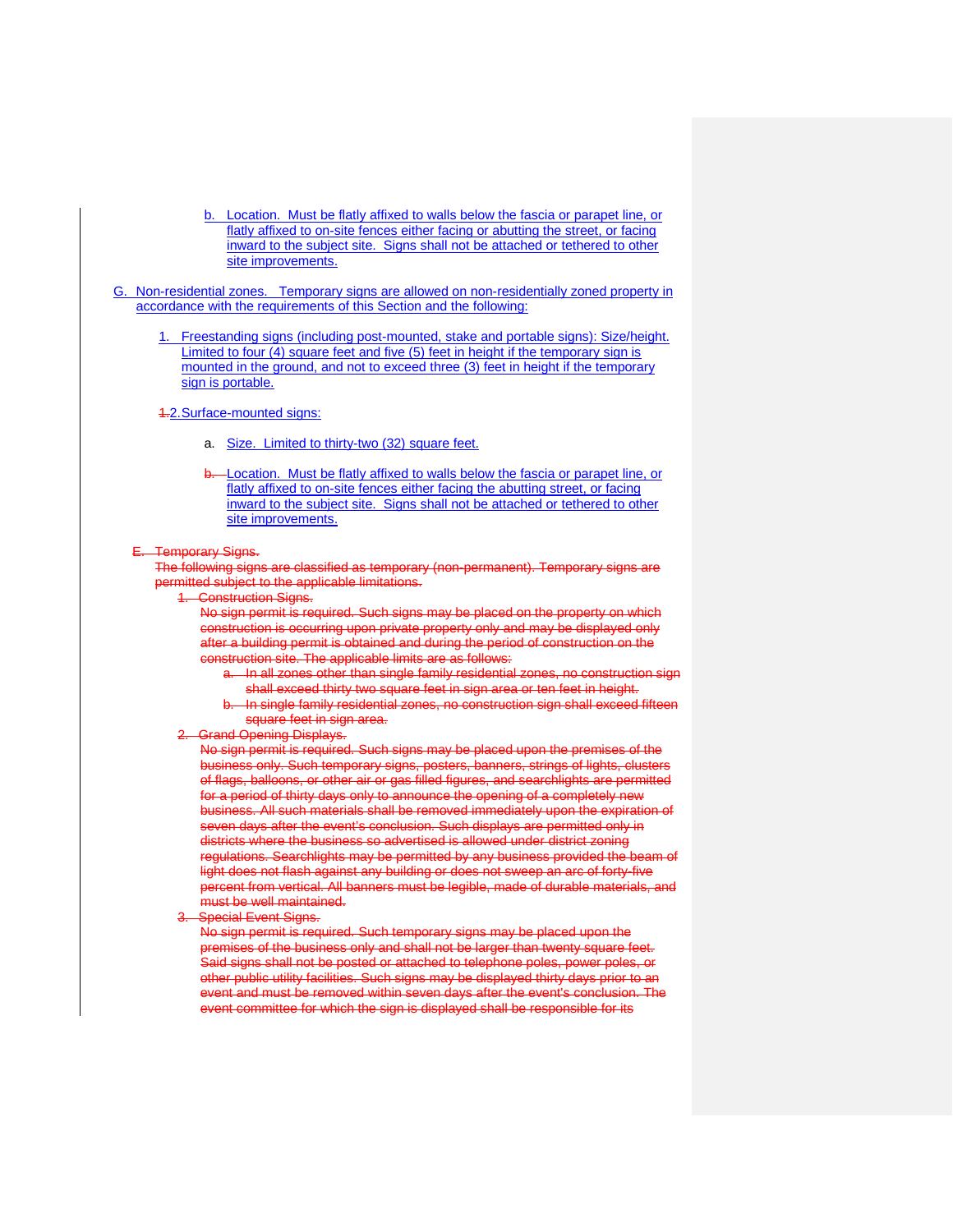- b. Location. Must be flatly affixed to walls below the fascia or parapet line, or flatly affixed to on-site fences either facing or abutting the street, or facing inward to the subject site. Signs shall not be attached or tethered to other site improvements.
- G. Non-residential zones. Temporary signs are allowed on non-residentially zoned property in accordance with the requirements of this Section and the following:
	- 1. Freestanding signs (including post-mounted, stake and portable signs): Size/height. Limited to four (4) square feet and five (5) feet in height if the temporary sign is mounted in the ground, and not to exceed three (3) feet in height if the temporary sign is portable.

#### 4.2. Surface-mounted signs:

- a. Size. Limited to thirty-two (32) square feet.
- b. Location. Must be flatly affixed to walls below the fascia or parapet line, or flatly affixed to on-site fences either facing the abutting street, or facing inward to the subject site. Signs shall not be attached or tethered to other site improvements.

#### **perary Signs.**

The following signs are classified as temporary (non-permanent). Temporary signs are permitted subject to the applicable limitations.

**Construction Signs.** 

No sign permit is required. Such signs may be placed on the property on which construction is occurring upon private property only and may be displayed only after a building permit is obtained and during the period of construction on the construction site. The applicable limits are as follows:

- a. In all zones other than single family residential zones, no construction sign shall exceed thirty two square feet in sign area or ten feet in height.
- b. In single family residential zones, no construction sign shall exceed fifteen square feet in sign area.

# Grand Opening Displays.

No sign permit is required. Such signs may be placed upon the premises of the business only. Such temporary signs, posters, banners, strings of lights, clusters of flags, balloons, or other air or gas filled figures, and searchlights are permitted for a period of thirty days only to announce the opening of a completely new business. All such materials shall be removed immediately upon the expiration of seven days after the event's conclusion. Such displays are permitted only in districts where the business so advertised is allowed under district zoning regulations. Searchlights may be permitted by any business provided the beam light does not flash against any building or does not sweep an arc of forty-five percent from vertical. All banners must be legible, made of durable materials, and must be well maintained.

Special Event Signs.

No sign permit is required. Such temporary signs may be placed upon the premises of the business only and shall not be larger than twenty square feet. Said signs shall not be posted or attached to telephone poles, power poles, or other public utility facilities. Such signs may be displayed thirty days prior to an event and must be removed within seven days after the event's conclusion. The event committee for which the sign is displayed shall be responsible for its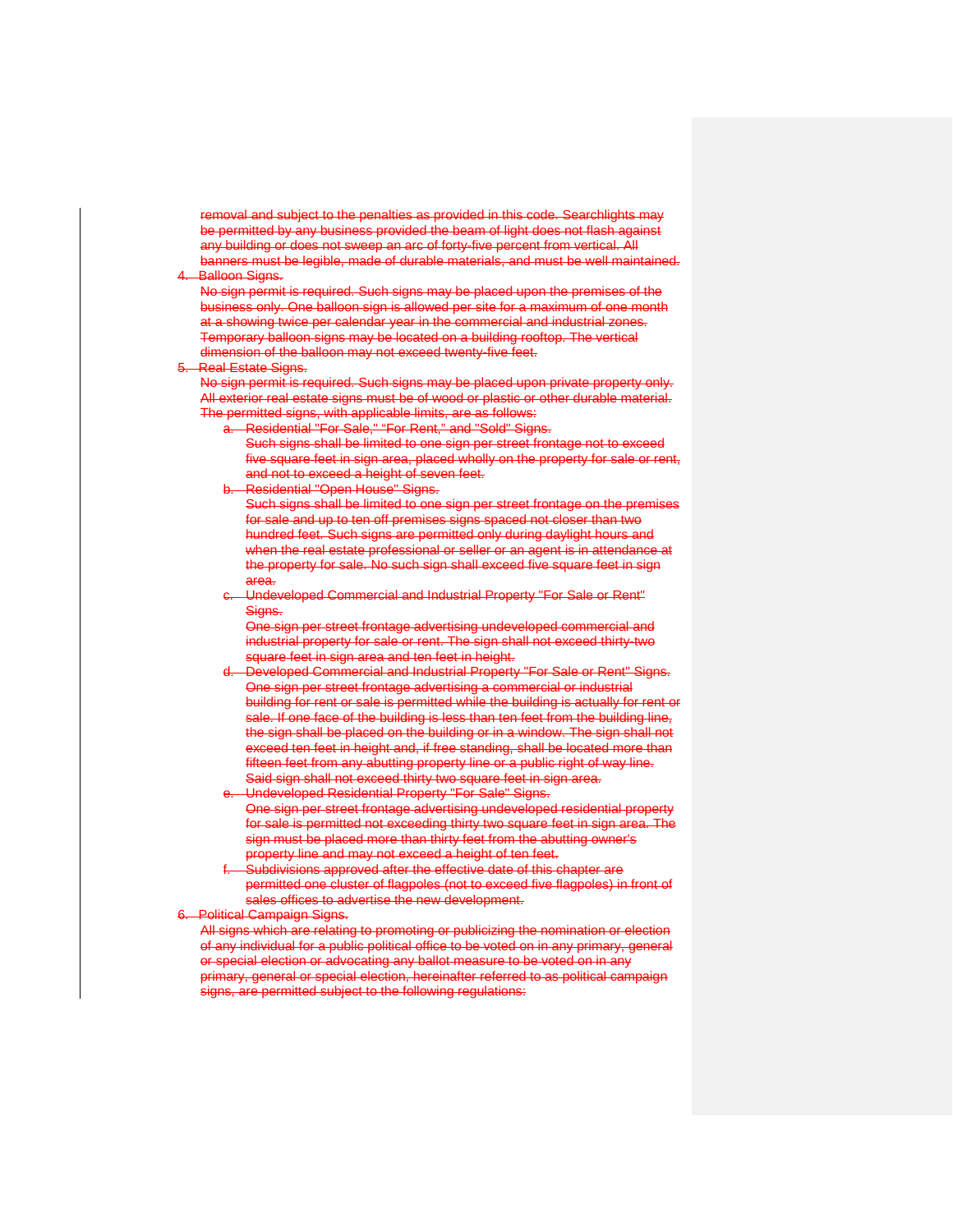removal and subject to the penalties as provided in this code. Searchlights may be permitted by any business provided the beam of light does not flash against any building or does not sweep an arc of forty-five percent from vertical. All banners must be legible, made of durable materials, and must be well maintained. Balloon Signs.

#### No sign permit is required. Such signs may be placed upon the premises of the business only. One balloon sign is allowed per site for a maximum of one month at a showing twice per calendar year in the commercial and industrial zones. Temporary balloon signs may be located on a building rooftop. The vertical dimension of the balloon may not exceed twenty-five feet.

# Real Estate Signs.

No sign permit is required. Such signs may be placed upon private property only. All exterior real estate signs must be of wood or plastic or other durable material. The permitted signs, with applicable limits, are as follows:

- a. Residential "For Sale," "For Rent," and "Sold" Signs.
	- Such signs shall be limited to one sign per street frontage not to exceed five square feet in sign area, placed wholly on the property for sale or rent, and not to exceed a height of seven feet.
- Residential "Open House" Signs.

Such signs shall be limited to one sign per street frontage on the premises for sale and up to ten off premises signs spaced not closer than two hundred feet. Such signs are permitted only during daylight hours and when the real estate professional or seller or an agent is in attendance at the property for sale. No such sign shall exceed five square feet in sign area.

c. Undeveloped Commercial and Industrial Property "For Sale or Rent" Signs.

One sign per street frontage advertising undeveloped commercial and industrial property for sale or rent. The sign shall not exceed thirty-two square feet in sign area and ten feet in height.

- Developed Commercial and Industrial Property "For Sale or Rent" Signs. One sign per street frontage advertising a commercial or industrial building for rent or sale is permitted while the building is actually for rent or sale. If one face of the building is less than ten feet from the building line, the sign shall be placed on the building or in a window. The sign shall not exceed ten feet in height and, if free standing, shall be located more than fifteen feet from any abutting property line or a public right of way line. Said sign shall not exceed thirty two square feet in sign area.
- Undeveloped Residential Property "For Sale" Signs. One sign per street frontage advertising undeveloped residential property for sale is permitted not exceeding thirty two square feet in sign area. sign must be placed more than thirty feet from the abutting owner's property line and may not exceed a height of ten feet.
- Subdivisions approved after the effective date of this chapter are permitted one cluster of flagpoles (not to exceed five flagpoles) in front of sales offices to advertise the new development.

### **Political Campaign Signs.**

All signs which are relating to promoting or publicizing the nomination or election of any individual for a public political office to be voted on in any primary, general or special election or advocating any ballot measure to be voted on in any primary, general or special election, hereinafter referred to as political campaign signs, are permitted subject to the following regulations: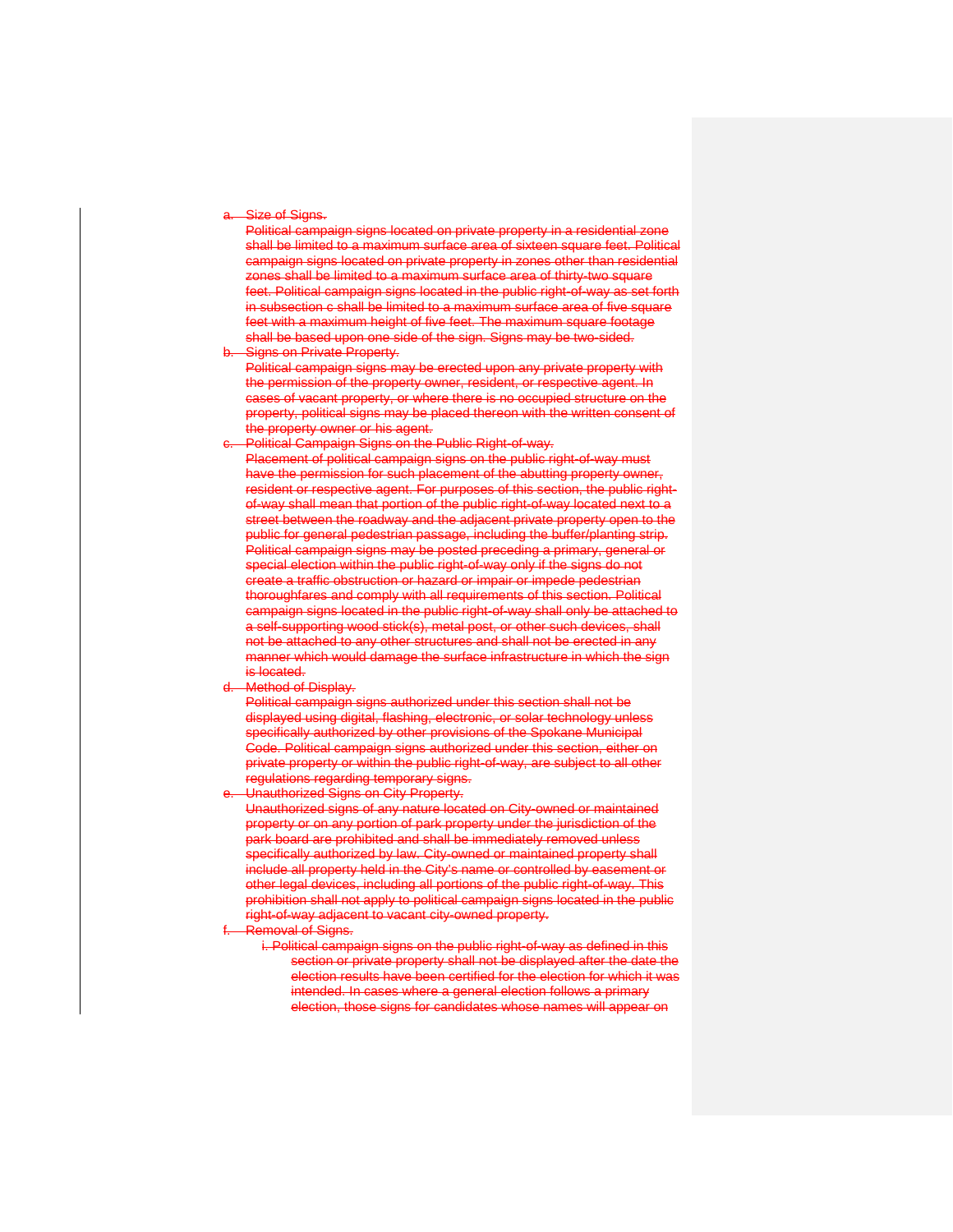#### Size of Signs.

Political campaign signs located on private property in a residential zone shall be limited to a maximum surface area of sixteen square feet. Political campaign signs located on private property in zones other than residential zones shall be limited to a maximum surface area of thirty-two square feet. Political campaign signs located in the public right-of-way as set forth in subsection c shall be limited to a maximum surface area of five square feet with a maximum height of five feet. The maximum square footage shall be based upon one side of the sign. Signs may be two-sided.

#### Signs on Private Property.

Political campaign signs may be erected upon any private property with the permission of the property owner, resident, or respective agent. In cases of vacant property, or where there is no occupied structure on the property, political signs may be placed thereon with the written consent of the property owner or his agent.

c. Political Campaign Signs on the Public Right-of-way.

Placement of political campaign signs on the public right-of-way must have the permission for such placement of the abutting property owner, resident or respective agent. For purposes of this section, the public rightof-way shall mean that portion of the public right-of-way located next to a street between the roadway and the adjacent private property open to the public for general pedestrian passage, including the buffer/planting strip. Political campaign signs may be posted preceding a primary, general or special election within the public right-of-way only if the signs do not create a traffic obstruction or hazard or impair or impede pedestrian thoroughfares and comply with all requirements of this section. Political campaign signs located in the public right-of-way shall only be attached to a self-supporting wood stick(s), metal post, or other such devices, shall not be attached to any other structures and shall not be erected in any manner which would damage the surface infrastructure in which the sign is located.

Method of Display.

Political campaign signs authorized under this section shall not be displayed using digital, flashing, electronic, or solar technology unless specifically authorized by other provisions of the Spokane Municipal Code. Political campaign signs authorized under this section, either on private property or within the public right-of-way, are subject to all other regulations regarding temporary signs.

Unauthorized Signs on City Property.

Unauthorized signs of any nature located on City-owned or maintained property or on any portion of park property under the jurisdiction of the park board are prohibited and shall be immediately removed unless specifically authorized by law. City-owned or maintained property shall include all property held in the City's name or controlled by easement or other legal devices, including all portions of the public right-of-way. This prohibition shall not apply to political campaign signs located in the public right-of-way adjacent to vacant city-owned property.

- Removal of Signs.
	- i. Political campaign signs on the public right-of-way as defined in this section or private property shall not be displayed after the date the election results have been certified for the election for which it was intended. In cases where a general election follows a primary election, those signs for candidates whose names will appear on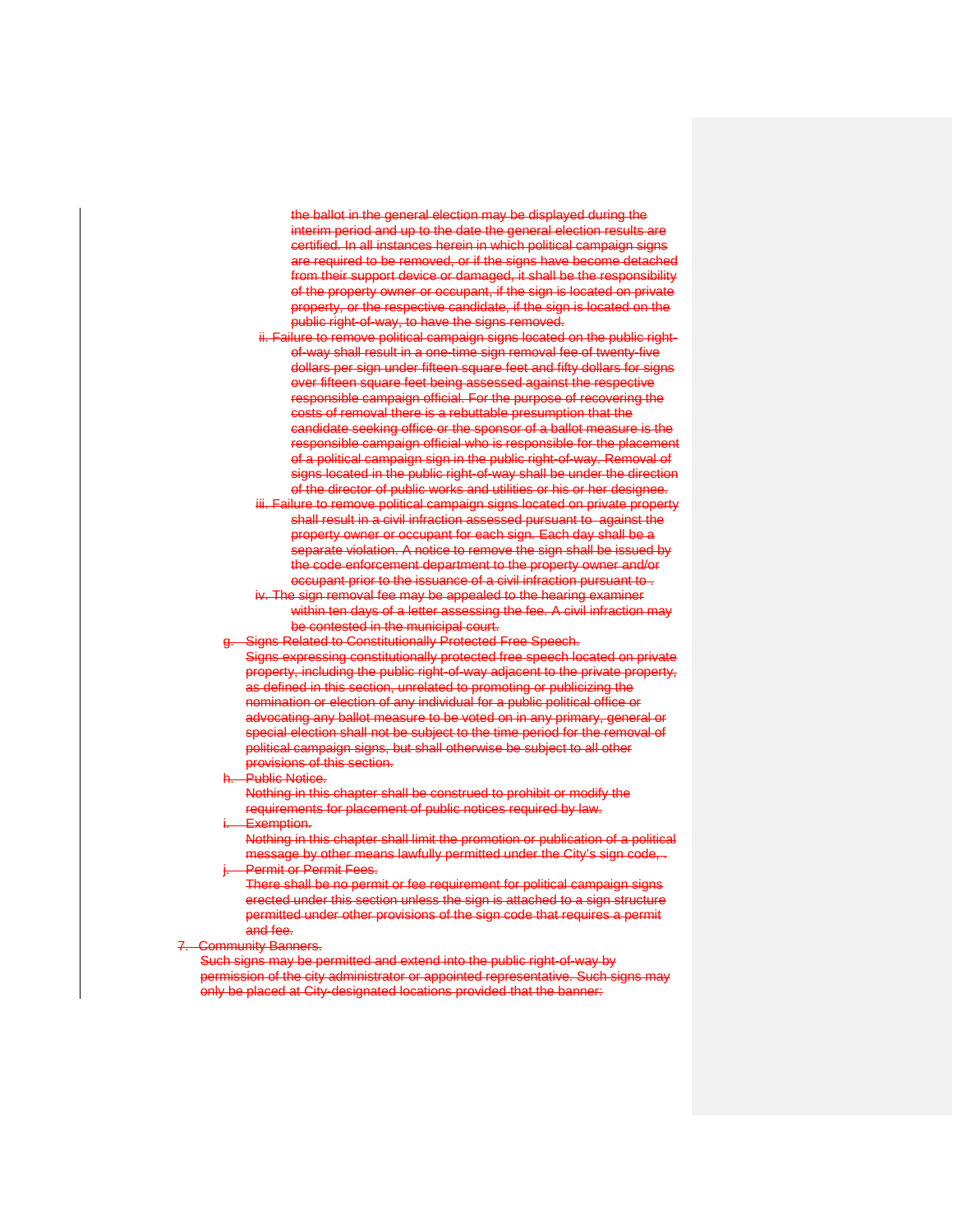the ballot in the general election may be displayed during the interim period and up to the date the general election results are certified. In all instances herein in which political campaign signs are required to be removed, or if the signs have become detached from their support device or damaged, it shall be the responsibility of the property owner or occupant, if the sign is located on private property, or the respective candidate, if the sign is located on the public right-of-way, to have the signs removed.

- ii. Failure to remove political campaign signs located on the public rightof-way shall result in a one-time sign removal fee of twenty-five dollars per sign under fifteen square feet and fifty dollars for signs over fifteen square feet being assessed against the respective responsible campaign official. For the purpose of recovering the costs of removal there is a rebuttable presumption that the candidate seeking office or the sponsor of a ballot measure is the responsible campaign official who is responsible for the placement of a political campaign sign in the public right-of-way. Removal of signs located in the public right-of-way shall be under the direction of the director of public works and utilities or his or her designee.
- iii. Failure to remove political campaign signs located on private property shall result in a civil infraction assessed pursuant to against the property owner or occupant for each sign. Each day shall be a separate violation. A notice to remove the sign shall be issued by the code enforcement department to the property owner and/or occupant prior to the issuance of a civil infraction pursuant to .
- The sign removal fee may be appealed to the hearing examiner within ten days of a letter assessing the fee. A civil infraction may be contested in the municipal court.

# Signs Related to Constitutionally Protected Free Speech.

- Signs expressing constitutionally protected free speech located on private property, including the public right-of-way adjacent to the private property, as defined in this section, unrelated to promoting or publicizing the nomination or election of any individual for a public political office or advocating any ballot measure to be voted on in any primary, general or special election shall not be subject to the time period for the removal of political campaign signs, but shall otherwise be subject to all other provisions of this section.
- Public Notice.

Nothing in this chapter shall be construed to prohibit or modify the requirements for placement of public notices required by law.

Exemption.

Nothing in this chapter shall limit the promotion or publication of a political message by other means lawfully permitted under the City's sign code, . Permit or Permit Fees.

There shall be no permit or fee requirement for political campaign signs erected under this section unless the sign is attached to a sign structure permitted under other provisions of the sign code that requires a permit .<br>and fee.

#### **Community Banners.**

Such signs may be permitted and extend into the public right-of-way by permission of the city administrator or appointed representative. Such signs may only be placed at City-designated locations provided that the banner: